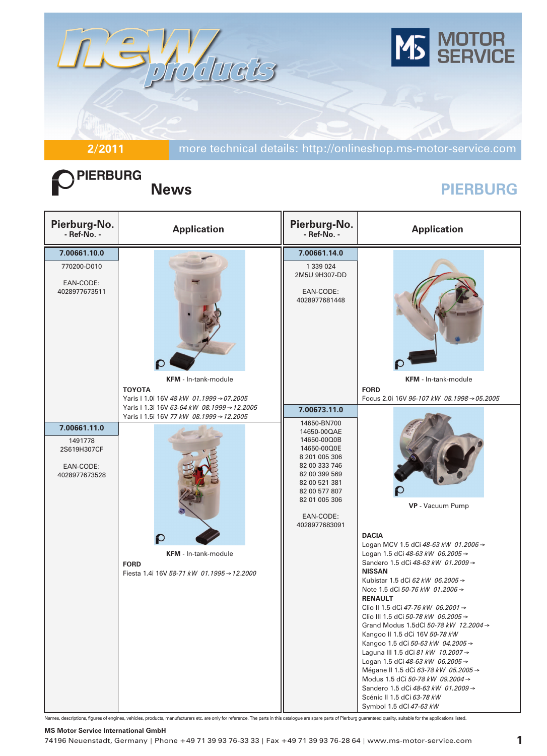

**2/2011** more technical details: http://onlineshop.ms-motor-service.com

# PIERBURG

## **News PIERBURG**

| Pierburg-No.<br>- Ref-No. -                                          | <b>Application</b>                                                                                                                                                                  | Pierburg-No.<br>- Ref-No. -                                                                                                                                                                                  | <b>Application</b>                                                                                                                                                                                                                                                                                                                                                                                                                                                                                                                                                                                                                                                                                                         |
|----------------------------------------------------------------------|-------------------------------------------------------------------------------------------------------------------------------------------------------------------------------------|--------------------------------------------------------------------------------------------------------------------------------------------------------------------------------------------------------------|----------------------------------------------------------------------------------------------------------------------------------------------------------------------------------------------------------------------------------------------------------------------------------------------------------------------------------------------------------------------------------------------------------------------------------------------------------------------------------------------------------------------------------------------------------------------------------------------------------------------------------------------------------------------------------------------------------------------------|
| 7.00661.10.0<br>770200-D010<br>EAN-CODE:<br>4028977673511            | <b>KFM</b> - In-tank-module<br><b>TOYOTA</b><br>Yaris   1.0i 16V 48 kW 01.1999 → 07.2005                                                                                            | 7.00661.14.0<br>1 339 024<br>2M5U 9H307-DD<br>EAN-CODE:<br>4028977681448                                                                                                                                     | <b>KFM</b> - In-tank-module<br><b>FORD</b><br>Focus 2.0i 16V 96-107 kW 08.1998 → 05.2005                                                                                                                                                                                                                                                                                                                                                                                                                                                                                                                                                                                                                                   |
| 7.00661.11.0<br>1491778<br>2S619H307CF<br>EAN-CODE:<br>4028977673528 | Yaris I 1.3i 16V 63-64 kW 08.1999 → 12.2005<br>Yaris   1.5i 16V 77 kW 08.1999 → 12.2005<br><b>KFM</b> - In-tank-module<br><b>FORD</b><br>Fiesta 1.4i 16V 58-71 kW 01.1995 → 12.2000 | 7.00673.11.0<br>14650-BN700<br>14650-00QAE<br>14650-00Q0B<br>14650-00Q0E<br>8 201 005 306<br>82 00 333 746<br>82 00 399 569<br>82 00 521 381<br>82 00 577 807<br>82 01 005 306<br>EAN-CODE:<br>4028977683091 | VP - Vacuum Pump<br><b>DACIA</b><br>Logan MCV 1.5 dCi 48-63 kW 01.2006 →<br>Logan 1.5 dCi 48-63 kW 06.2005 →<br>Sandero 1.5 dCi 48-63 kW 01.2009 →<br><b>NISSAN</b><br>Kubistar 1.5 dCi 62 kW 06.2005 →<br>Note 1.5 dCi 50-76 kW 01.2006 $\rightarrow$<br><b>RENAULT</b><br>Clio II 1.5 dCi 47-76 kW 06.2001 →<br>Clio III 1.5 dCi 50-78 kW 06.2005 →<br>Grand Modus 1.5dCl 50-78 kW 12.2004 →<br>Kangoo II 1.5 dCi 16V 50-78 kW<br>Kangoo 1.5 dCi 50-63 kW 04.2005 →<br>Laguna III 1.5 dCi 81 kW 10.2007 →<br>Logan 1.5 dCi 48-63 kW 06.2005 →<br>Mégane II 1.5 dCi 63-78 kW 05.2005 →<br>Modus 1.5 dCi 50-78 kW 09.2004 →<br>Sandero 1.5 dCi 48-63 kW 01.2009 →<br>Scénic II 1.5 dCi 63-78 kW<br>Symbol 1.5 dCl 47-63 kW |

Names, descriptions, figures of engines, vehicles, products, manufacturers etc. are only for reference. The parts in this catalogue are spare parts of Pierburg guaranteed quality, suitable for the applications listed.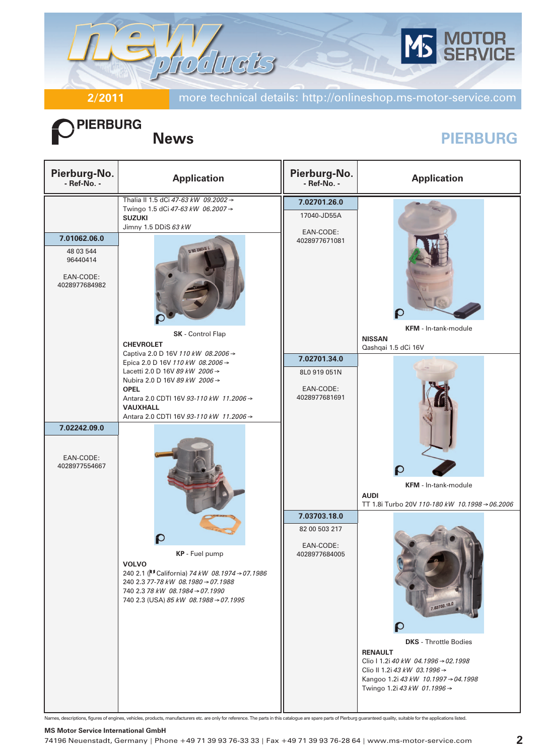

**PIERBURG** 

**2/2011** more technical details: http://onlineshop.ms-motor-service.com

## **News PIERBURG**

| Pierburg-No.<br>- Ref-No. -                                         | <b>Application</b>                                                                                                                                                                                                                                                                                                                                                                                                                                                                   | Pierburg-No.<br>- Ref-No. -                                                                                               | <b>Application</b>                                                                                                                                                                                                                                                                                                                             |
|---------------------------------------------------------------------|--------------------------------------------------------------------------------------------------------------------------------------------------------------------------------------------------------------------------------------------------------------------------------------------------------------------------------------------------------------------------------------------------------------------------------------------------------------------------------------|---------------------------------------------------------------------------------------------------------------------------|------------------------------------------------------------------------------------------------------------------------------------------------------------------------------------------------------------------------------------------------------------------------------------------------------------------------------------------------|
| 7.01062.06.0<br>48 03 544<br>96440414<br>EAN-CODE:<br>4028977684982 | Thalia II 1.5 dCi 47-63 kW 09.2002 →<br>Twingo 1.5 dCi 47-63 kW 06.2007 →<br><b>SUZUKI</b><br>Jimny 1.5 DDiS 63 kW<br>0.80.58010.T<br>SK - Control Flap<br><b>CHEVROLET</b>                                                                                                                                                                                                                                                                                                          | 7.02701.26.0<br>17040-JD55A<br>EAN-CODE:<br>4028977671081                                                                 | <b>KFM</b> - In-tank-module<br><b>NISSAN</b>                                                                                                                                                                                                                                                                                                   |
| 7.02242.09.0<br>EAN-CODE:<br>4028977554667                          | Captiva 2.0 D 16V 110 kW 08.2006 →<br>Epica 2.0 D 16V 110 kW 08.2006 →<br>Lacetti 2.0 D 16V 89 kW 2006 →<br>Nubira 2.0 D 16V 89 kW 2006 →<br><b>OPEL</b><br>Antara 2.0 CDTI 16V 93-110 kW 11.2006 →<br><b>VAUXHALL</b><br>Antara 2.0 CDTI 16V 93-110 kW 11.2006 →<br>KP - Fuel pump<br><b>VOLVO</b><br>240 2.1 ( <sup>IU</sup> California) 74 kW 08.1974 → 07.1986<br>240 2.3 77-78 kW 08.1980 → 07.1988<br>740 2.3 78 kW 08.1984 → 07.1990<br>740 2.3 (USA) 85 kW 08.1988 → 07.1995 | 7.02701.34.0<br>8L0 919 051N<br>EAN-CODE:<br>4028977681691<br>7.03703.18.0<br>82 00 503 217<br>EAN-CODE:<br>4028977684005 | Qashqai 1.5 dCi 16V<br><b>KFM</b> - In-tank-module<br><b>AUDI</b><br>TT 1.8i Turbo 20V 110-180 kW 10.1998 → 06.2006<br>7.03703.18.0<br><b>DKS</b> - Throttle Bodies<br><b>RENAULT</b><br>Clio   1.2i 40 kW 04.1996 $\rightarrow$ 02.1998<br>Clio II 1.2i 43 kW 03.1996 →<br>Kangoo 1.2i 43 kW 10.1997 → 04.1998<br>Twingo 1.2i 43 kW 01.1996 → |

Names, descriptions, figures of engines, vehicles, products, manufacturers etc. are only for reference. The parts in this catalogue are spare parts of Pierburg guaranteed quality, suitable for the applications listed.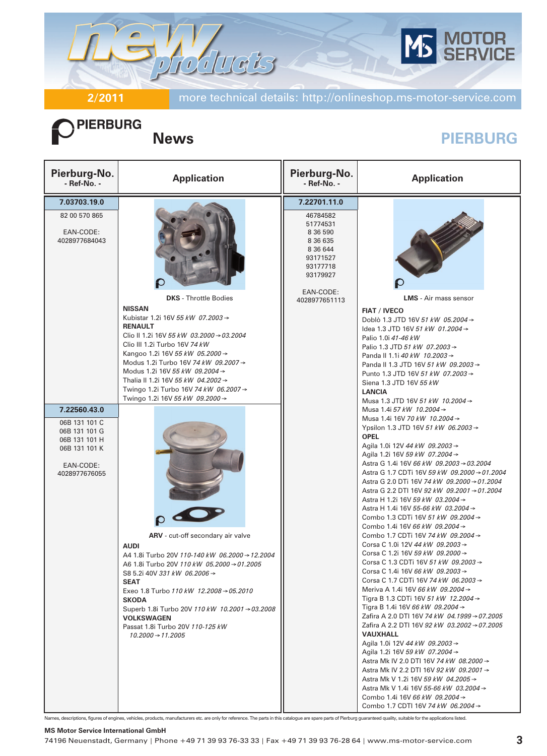

**2/2011** more technical details: http://onlineshop.ms-motor-service.com

# **PIERBURG**

## **News PIERBURG**

| Pierburg-No.<br>- Ref-No. -                                                                                    | <b>Application</b>                                                                                                                                                                                                                                                                                                                                                                                                               | Pierburg-No.<br>- Ref-No. -                                                                                                                 | <b>Application</b>                                                                                                                                                                                                                                                                                                                                                                                                                                                                                                                                                                                                                                                                                                                                                                                                                                                                                                                                                                                                                                                                                                                                                                                                                                                                                                                                 |
|----------------------------------------------------------------------------------------------------------------|----------------------------------------------------------------------------------------------------------------------------------------------------------------------------------------------------------------------------------------------------------------------------------------------------------------------------------------------------------------------------------------------------------------------------------|---------------------------------------------------------------------------------------------------------------------------------------------|----------------------------------------------------------------------------------------------------------------------------------------------------------------------------------------------------------------------------------------------------------------------------------------------------------------------------------------------------------------------------------------------------------------------------------------------------------------------------------------------------------------------------------------------------------------------------------------------------------------------------------------------------------------------------------------------------------------------------------------------------------------------------------------------------------------------------------------------------------------------------------------------------------------------------------------------------------------------------------------------------------------------------------------------------------------------------------------------------------------------------------------------------------------------------------------------------------------------------------------------------------------------------------------------------------------------------------------------------|
| 7.03703.19.0<br>82 00 570 865<br>EAN-CODE:<br>4028977684043                                                    | <b>DKS</b> - Throttle Bodies<br><b>NISSAN</b><br>Kubistar 1.2i 16V 55 kW 07.2003 →<br><b>RENAULT</b><br>Clio II 1.2i 16V 55 kW 03.2000 $\rightarrow$ 03.2004<br>Clio III 1.2i Turbo 16V 74 kW<br>Kangoo 1.2i 16V 55 kW 05.2000 →<br>Modus 1.2i Turbo 16V 74 kW 09.2007 →<br>Modus 1.2i 16V 55 kW 09.2004 →<br>Thalia II 1.2i 16V 55 kW 04.2002 →<br>Twingo 1.2i Turbo 16V 74 kW 06.2007 →<br>Twingo 1.2i 16V 55 kW 09.2000 →     | 7.22701.11.0<br>46784582<br>51774531<br>8 36 590<br>8 36 6 35<br>8 36 644<br>93171527<br>93177718<br>93179927<br>EAN-CODE:<br>4028977651113 | <b>LMS</b> - Air mass sensor<br><b>FIAT / IVECO</b><br>Doblò 1.3 JTD 16V 51 kW 05.2004 →<br>Idea 1.3 JTD 16V 51 kW 01.2004 $\rightarrow$<br>Palio 1.0i 41-46 kW<br>Palio 1.3 JTD 51 kW 07.2003 →<br>Panda II 1.1i 40 kW 10.2003 →<br>Panda II 1.3 JTD 16V 51 kW 09.2003 →<br>Punto 1.3 JTD 16V 51 kW 07.2003 →<br>Siena 1.3 JTD 16V 55 kW<br><b>LANCIA</b><br>Musa 1.3 JTD 16V 51 kW 10.2004 →                                                                                                                                                                                                                                                                                                                                                                                                                                                                                                                                                                                                                                                                                                                                                                                                                                                                                                                                                     |
| 7.22560.43.0<br>06B 131 101 C<br>06B 131 101 G<br>06B 131 101 H<br>06B 131 101 K<br>EAN-CODE:<br>4028977676055 | ARV - cut-off secondary air valve<br><b>AUDI</b><br>A4 1.8i Turbo 20V 110-140 kW 06.2000 → 12.2004<br>A6 1.8i Turbo 20V 110 kW 05.2000 → 01.2005<br>S8 5.2i 40V 331 kW 06.2006 $\rightarrow$<br><b>SEAT</b><br>Exeo 1.8 Turbo $110 kW$ $12.2008 \rightarrow 05.2010$<br><b>SKODA</b><br>Superb 1.8i Turbo 20V 110 kW 10.2001 → 03.2008<br><b>VOLKSWAGEN</b><br>Passat 1.8i Turbo 20V 110-125 kW<br>$10.2000 \rightarrow 11.2005$ |                                                                                                                                             | Musa 1.4i 57 kW 10.2004 →<br>Musa 1.4i 16V 70 kW 10.2004 →<br>Ypsilon 1.3 JTD 16V 51 kW 06.2003 →<br><b>OPEL</b><br>Agila 1.0i 12V 44 kW 09.2003 →<br>Agila 1.2i 16V 59 kW 07.2004 →<br>Astra G 1.4i 16V 66 kW 09.2003 → 03.2004<br>Astra G 1.7 CDTi 16V 59 kW 09.2000 → 01.2004<br>Astra G 2.0 DTi 16V 74 kW 09.2000 → 01.2004<br>Astra G 2.2 DTI 16V 92 kW 09.2001 → 01.2004<br>Astra H 1.2i 16V 59 kW 03.2004 →<br>Astra H 1.4i 16V 55-66 kW 03.2004 →<br>Combo 1.3 CDTi 16V 51 kW 09.2004 →<br>Combo 1.4i 16V 66 kW 09.2004 →<br>Combo 1.7 CDTi 16V 74 kW 09.2004 →<br>Corsa C 1.0i 12V 44 kW 09.2003 →<br>Corsa C 1.2i 16V 59 kW 09.2000 →<br>Corsa C 1.3 CDTi 16V 51 kW 09.2003 →<br>Corsa C 1.4i 16V 66 kW 09.2003 →<br>Corsa C 1.7 CDTi 16V 74 kW 06.2003 →<br>Meriva A 1.4i 16V 66 kW 09.2004 $\rightarrow$<br>Tigra B 1.3 CDTi 16V 51 kW 12.2004 →<br>Tigra B 1.4i 16V 66 kW 09.2004 →<br>Zafira A 2.0 DTI 16V 74 kW 04.1999 → 07.2005<br>Zafira A 2.2 DTI 16V 92 kW 03.2002 → 07.2005<br><b>VAUXHALL</b><br>Agila 1.0i 12V 44 kW 09.2003 →<br>Agila 1.2i 16V 59 kW 07.2004 →<br>Astra Mk IV 2.0 DTI 16V 74 kW 08.2000 →<br>Astra Mk IV 2.2 DTI 16V 92 kW 09.2001 →<br>Astra Mk V 1.2i 16V 59 kW 04.2005 →<br>Astra Mk V 1.4i 16V 55-66 kW 03.2004 →<br>Combo 1.4i 16V 66 kW 09.2004 $\rightarrow$<br>Combo 1.7 CDTI 16V 74 kW 06.2004 → |

Names, descriptions, figures of engines, vehicles, products, manufacturers etc. are only for reference. The parts in this catalogue are spare parts of Pierburg guaranteed quality, suitable for the applications listed.